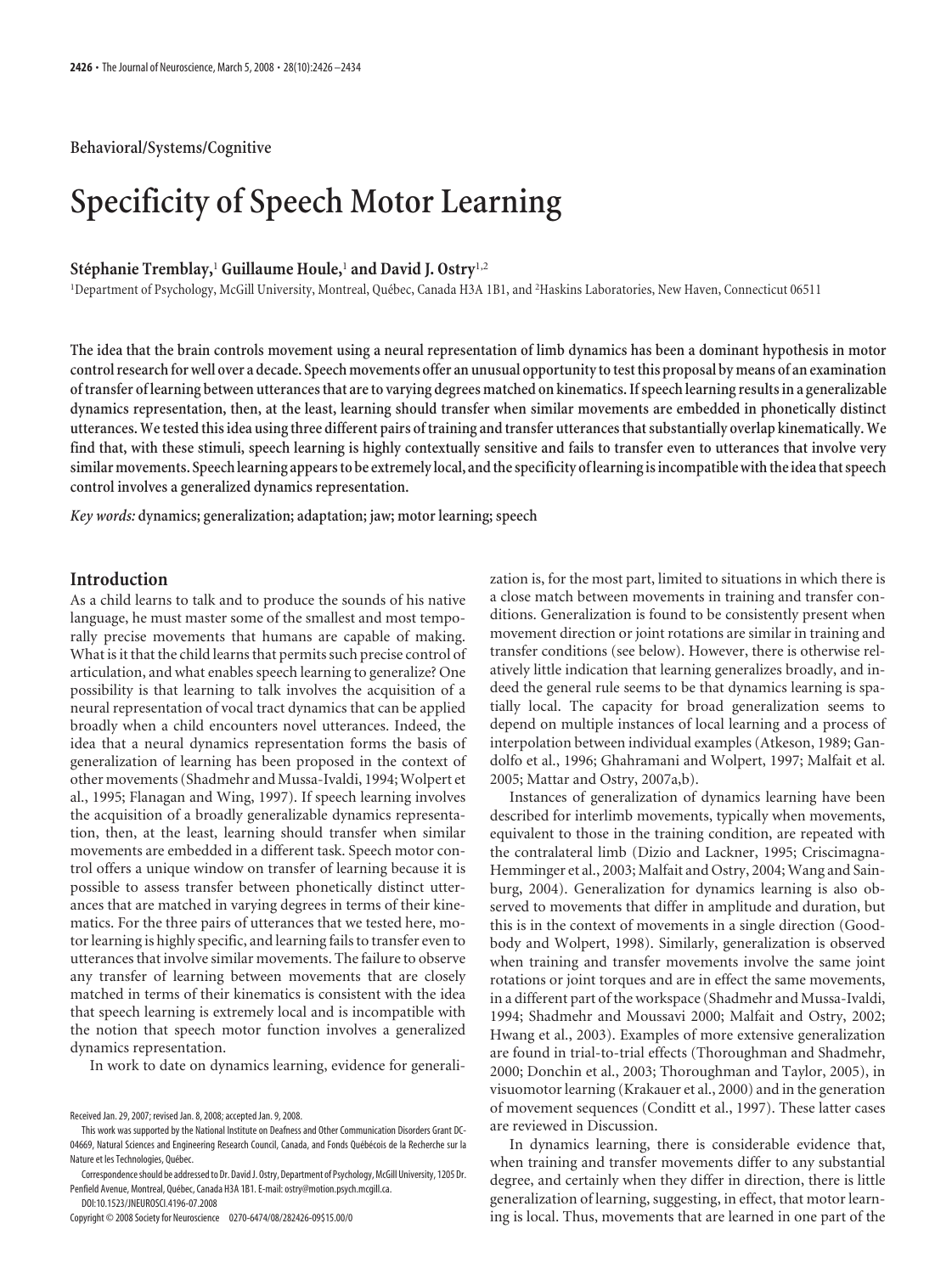**Behavioral/Systems/Cognitive**

# **Specificity of Speech Motor Learning**

## **Ste´phanie Tremblay,**<sup>1</sup> **Guillaume Houle,**<sup>1</sup> **and David J. Ostry**1,2

<sup>1</sup>Department of Psychology, McGill University, Montreal, Québec, Canada H3A 1B1, and <sup>2</sup>Haskins Laboratories, New Haven, Connecticut 06511

**The idea that the brain controls movement using a neural representation of limb dynamics has been a dominant hypothesis in motor** control research for well over a decade. Speech movements offer an unusual opportunity to test this proposal by means of an examination **of transfer of learning between utterances that are to varying degrees matched on kinematics. If speech learning results in a generalizable dynamics representation, then, at the least, learning should transfer when similar movements are embedded in phonetically distinct utterances. Wetestedthis idea usingthree different pairs oftraining andtransfer utterancesthat substantially overlap kinematically. We find that, with these stimuli, speech learning is highly contextually sensitive and fails to transfer even to utterances that involve very similar movements. Speech learning appearsto be extremely local, andthe specificity of learningisincompatible withtheideathat speech control involves a generalized dynamics representation.**

*Key words:* **dynamics; generalization; adaptation; jaw; motor learning; speech**

### **Introduction**

As a child learns to talk and to produce the sounds of his native language, he must master some of the smallest and most temporally precise movements that humans are capable of making. What is it that the child learns that permits such precise control of articulation, and what enables speech learning to generalize? One possibility is that learning to talk involves the acquisition of a neural representation of vocal tract dynamics that can be applied broadly when a child encounters novel utterances. Indeed, the idea that a neural dynamics representation forms the basis of generalization of learning has been proposed in the context of other movements (Shadmehr and Mussa-Ivaldi, 1994; Wolpert et al., 1995; Flanagan and Wing, 1997). If speech learning involves the acquisition of a broadly generalizable dynamics representation, then, at the least, learning should transfer when similar movements are embedded in a different task. Speech motor control offers a unique window on transfer of learning because it is possible to assess transfer between phonetically distinct utterances that are matched in varying degrees in terms of their kinematics. For the three pairs of utterances that we tested here, motor learning is highly specific, and learning fails to transfer even to utterances that involve similar movements. The failure to observe any transfer of learning between movements that are closely matched in terms of their kinematics is consistent with the idea that speech learning is extremely local and is incompatible with the notion that speech motor function involves a generalized dynamics representation.

In work to date on dynamics learning, evidence for generali-

zation is, for the most part, limited to situations in which there is a close match between movements in training and transfer conditions. Generalization is found to be consistently present when movement direction or joint rotations are similar in training and transfer conditions (see below). However, there is otherwise relatively little indication that learning generalizes broadly, and indeed the general rule seems to be that dynamics learning is spatially local. The capacity for broad generalization seems to depend on multiple instances of local learning and a process of interpolation between individual examples (Atkeson, 1989; Gandolfo et al., 1996; Ghahramani and Wolpert, 1997; Malfait et al. 2005; Mattar and Ostry, 2007a,b).

Instances of generalization of dynamics learning have been described for interlimb movements, typically when movements, equivalent to those in the training condition, are repeated with the contralateral limb (Dizio and Lackner, 1995; Criscimagna-Hemminger et al., 2003; Malfait and Ostry, 2004; Wang and Sainburg, 2004). Generalization for dynamics learning is also observed to movements that differ in amplitude and duration, but this is in the context of movements in a single direction (Goodbody and Wolpert, 1998). Similarly, generalization is observed when training and transfer movements involve the same joint rotations or joint torques and are in effect the same movements, in a different part of the workspace (Shadmehr and Mussa-Ivaldi, 1994; Shadmehr and Moussavi 2000; Malfait and Ostry, 2002; Hwang et al., 2003). Examples of more extensive generalization are found in trial-to-trial effects (Thoroughman and Shadmehr, 2000; Donchin et al., 2003; Thoroughman and Taylor, 2005), in visuomotor learning (Krakauer et al., 2000) and in the generation of movement sequences (Conditt et al., 1997). These latter cases are reviewed in Discussion.

In dynamics learning, there is considerable evidence that, when training and transfer movements differ to any substantial degree, and certainly when they differ in direction, there is little generalization of learning, suggesting, in effect, that motor learning is local. Thus, movements that are learned in one part of the

Received Jan. 29, 2007; revised Jan. 8, 2008; accepted Jan. 9, 2008.

This work was supported by the National Institute on Deafness and Other Communication Disorders Grant DC-04669, Natural Sciences and Engineering Research Council, Canada, and Fonds Québécois de la Recherche sur la Nature et les Technologies, Québec.

Correspondence should be addressed to Dr. David J. Ostry, Department of Psychology, McGill University, 1205 Dr. Penfield Avenue, Montreal, Québec, Canada H3A 1B1. E-mail: ostry@motion.psych.mcgill.ca.

DOI:10.1523/JNEUROSCI.4196-07.2008 Copyright © 2008 Society for Neuroscience 0270-6474/08/282426-09\$15.00/0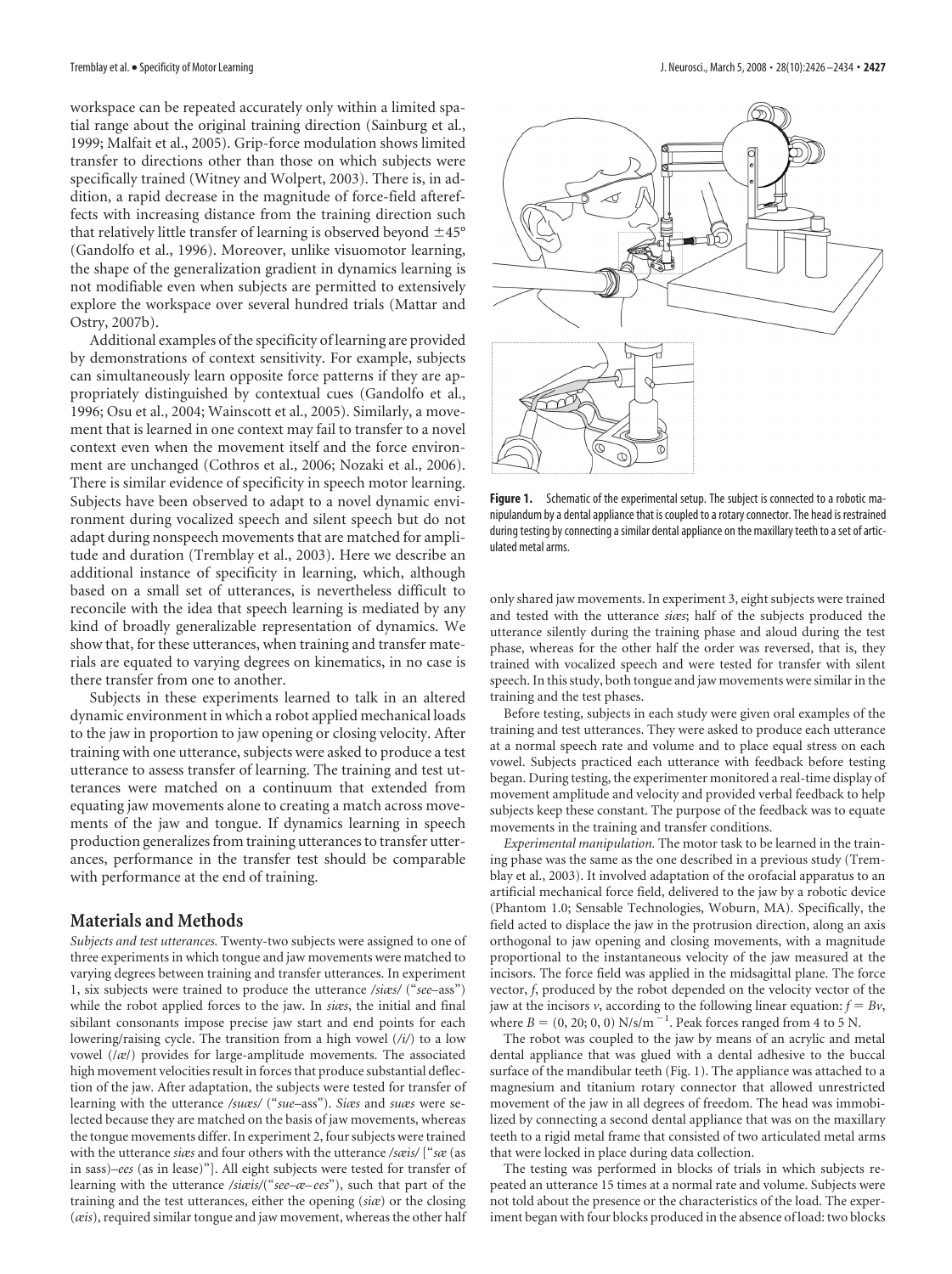workspace can be repeated accurately only within a limited spatial range about the original training direction (Sainburg et al., 1999; Malfait et al., 2005). Grip-force modulation shows limited transfer to directions other than those on which subjects were specifically trained (Witney and Wolpert, 2003). There is, in addition, a rapid decrease in the magnitude of force-field aftereffects with increasing distance from the training direction such that relatively little transfer of learning is observed beyond  $\pm 45^{\circ}$ (Gandolfo et al., 1996). Moreover, unlike visuomotor learning, the shape of the generalization gradient in dynamics learning is not modifiable even when subjects are permitted to extensively explore the workspace over several hundred trials (Mattar and Ostry, 2007b).

Additional examples of the specificity of learning are provided by demonstrations of context sensitivity. For example, subjects can simultaneously learn opposite force patterns if they are appropriately distinguished by contextual cues (Gandolfo et al., 1996; Osu et al., 2004; Wainscott et al., 2005). Similarly, a movement that is learned in one context may fail to transfer to a novel context even when the movement itself and the force environment are unchanged (Cothros et al., 2006; Nozaki et al., 2006). There is similar evidence of specificity in speech motor learning. Subjects have been observed to adapt to a novel dynamic environment during vocalized speech and silent speech but do not adapt during nonspeech movements that are matched for amplitude and duration (Tremblay et al., 2003). Here we describe an additional instance of specificity in learning, which, although based on a small set of utterances, is nevertheless difficult to reconcile with the idea that speech learning is mediated by any kind of broadly generalizable representation of dynamics. We show that, for these utterances, when training and transfer materials are equated to varying degrees on kinematics, in no case is there transfer from one to another.

Subjects in these experiments learned to talk in an altered dynamic environment in which a robot applied mechanical loads to the jaw in proportion to jaw opening or closing velocity. After training with one utterance, subjects were asked to produce a test utterance to assess transfer of learning. The training and test utterances were matched on a continuum that extended from equating jaw movements alone to creating a match across movements of the jaw and tongue. If dynamics learning in speech production generalizes from training utterances to transfer utterances, performance in the transfer test should be comparable with performance at the end of training.

#### **Materials and Methods**

*Subjects and test utterances.* Twenty-two subjects were assigned to one of three experiments in which tongue and jaw movements were matched to varying degrees between training and transfer utterances. In experiment 1, six subjects were trained to produce the utterance */siæs/* ("*see*–ass") while the robot applied forces to the jaw. In *siæs*, the initial and final sibilant consonants impose precise jaw start and end points for each lowering/raising cycle. The transition from a high vowel (*/i/*) to a low vowel (/*æ*/) provides for large-amplitude movements. The associated high movement velocities result in forces that produce substantial deflection of the jaw. After adaptation, the subjects were tested for transfer of learning with the utterance */suæs/* ("*sue*–ass"). *Siæs* and *suæs* were selected because they are matched on the basis of jaw movements, whereas the tongue movements differ. In experiment 2, four subjects were trained with the utterance *siæs* and four others with the utterance */sæis/* ["*sæ* (as in sass)–*ees* (as in lease)"]. All eight subjects were tested for transfer of learning with the utterance */siæis/*("*see–æ– ees*"), such that part of the training and the test utterances, either the opening (*siæ*) or the closing (*æis*), required similar tongue and jaw movement, whereas the other half



Figure 1. Schematic of the experimental setup. The subject is connected to a robotic manipulandum by a dental appliance that is coupled to a rotary connector. The head is restrained during testing by connecting a similar dental appliance on the maxillary teeth to a set of articulated metal arms.

only shared jaw movements. In experiment 3, eight subjects were trained and tested with the utterance *siæs*; half of the subjects produced the utterance silently during the training phase and aloud during the test phase, whereas for the other half the order was reversed, that is, they trained with vocalized speech and were tested for transfer with silent speech. In this study, both tongue and jaw movements were similar in the training and the test phases.

Before testing, subjects in each study were given oral examples of the training and test utterances. They were asked to produce each utterance at a normal speech rate and volume and to place equal stress on each vowel. Subjects practiced each utterance with feedback before testing began. During testing, the experimenter monitored a real-time display of movement amplitude and velocity and provided verbal feedback to help subjects keep these constant. The purpose of the feedback was to equate movements in the training and transfer conditions.

*Experimental manipulation.* The motor task to be learned in the training phase was the same as the one described in a previous study (Tremblay et al., 2003). It involved adaptation of the orofacial apparatus to an artificial mechanical force field, delivered to the jaw by a robotic device (Phantom 1.0; Sensable Technologies, Woburn, MA). Specifically, the field acted to displace the jaw in the protrusion direction, along an axis orthogonal to jaw opening and closing movements, with a magnitude proportional to the instantaneous velocity of the jaw measured at the incisors. The force field was applied in the midsagittal plane. The force vector, *f*, produced by the robot depended on the velocity vector of the jaw at the incisors  $\nu$ , according to the following linear equation:  $f = B\nu$ , where  $B = (0, 20, 0, 0)$  N/s/m<sup>-1</sup>. Peak forces ranged from 4 to 5 N.

The robot was coupled to the jaw by means of an acrylic and metal dental appliance that was glued with a dental adhesive to the buccal surface of the mandibular teeth (Fig. 1). The appliance was attached to a magnesium and titanium rotary connector that allowed unrestricted movement of the jaw in all degrees of freedom. The head was immobilized by connecting a second dental appliance that was on the maxillary teeth to a rigid metal frame that consisted of two articulated metal arms that were locked in place during data collection.

The testing was performed in blocks of trials in which subjects repeated an utterance 15 times at a normal rate and volume. Subjects were not told about the presence or the characteristics of the load. The experiment began with four blocks produced in the absence of load: two blocks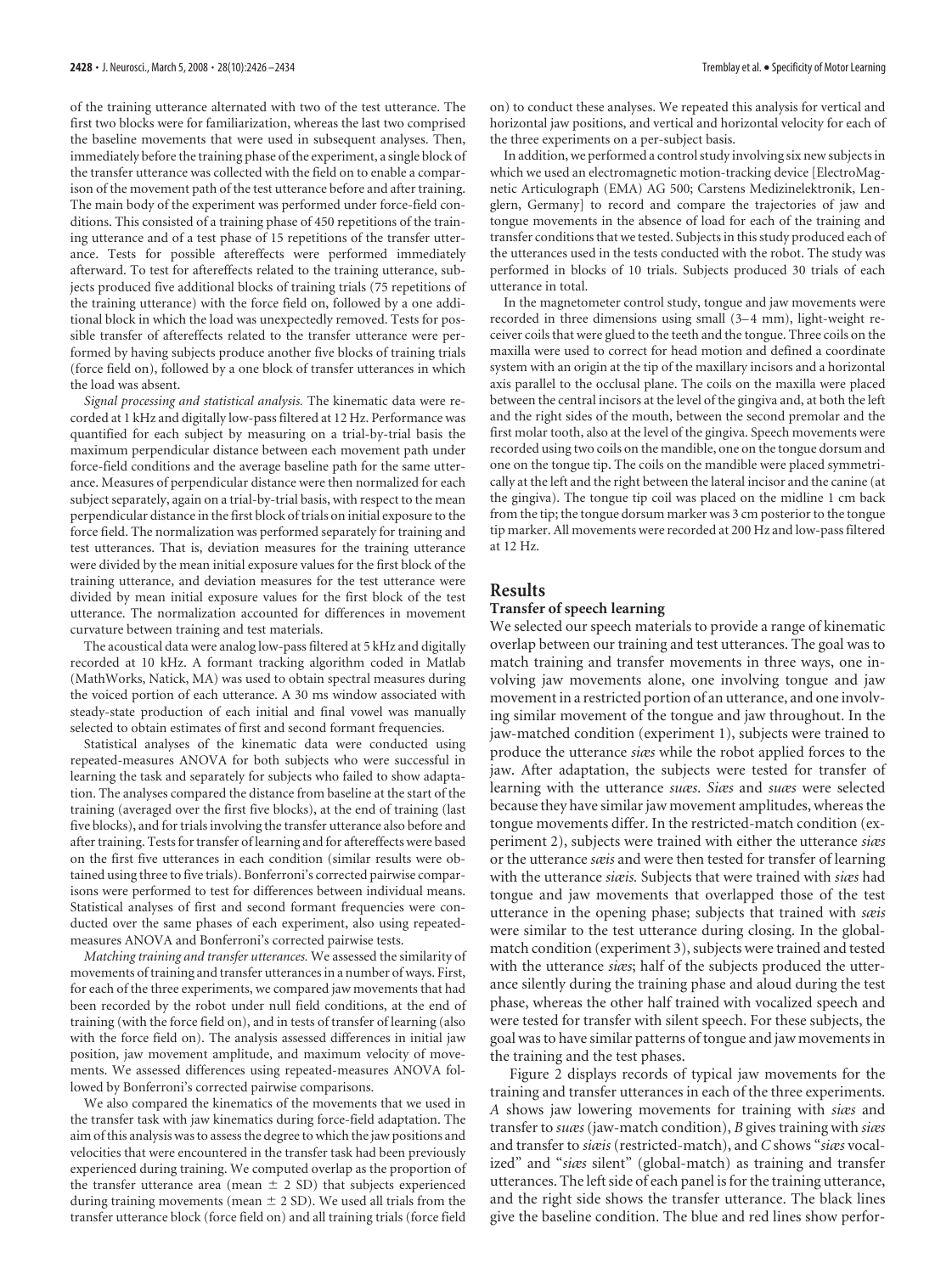of the training utterance alternated with two of the test utterance. The first two blocks were for familiarization, whereas the last two comprised the baseline movements that were used in subsequent analyses. Then, immediately before the training phase of the experiment, a single block of the transfer utterance was collected with the field on to enable a comparison of the movement path of the test utterance before and after training. The main body of the experiment was performed under force-field conditions. This consisted of a training phase of 450 repetitions of the training utterance and of a test phase of 15 repetitions of the transfer utterance. Tests for possible aftereffects were performed immediately afterward. To test for aftereffects related to the training utterance, subjects produced five additional blocks of training trials (75 repetitions of the training utterance) with the force field on, followed by a one additional block in which the load was unexpectedly removed. Tests for possible transfer of aftereffects related to the transfer utterance were performed by having subjects produce another five blocks of training trials (force field on), followed by a one block of transfer utterances in which the load was absent.

*Signal processing and statistical analysis.* The kinematic data were recorded at 1 kHz and digitally low-pass filtered at 12 Hz. Performance was quantified for each subject by measuring on a trial-by-trial basis the maximum perpendicular distance between each movement path under force-field conditions and the average baseline path for the same utterance. Measures of perpendicular distance were then normalized for each subject separately, again on a trial-by-trial basis, with respect to the mean perpendicular distance in the first block of trials on initial exposure to the force field. The normalization was performed separately for training and test utterances. That is, deviation measures for the training utterance were divided by the mean initial exposure values for the first block of the training utterance, and deviation measures for the test utterance were divided by mean initial exposure values for the first block of the test utterance. The normalization accounted for differences in movement curvature between training and test materials.

The acoustical data were analog low-pass filtered at 5 kHz and digitally recorded at 10 kHz. A formant tracking algorithm coded in Matlab (MathWorks, Natick, MA) was used to obtain spectral measures during the voiced portion of each utterance. A 30 ms window associated with steady-state production of each initial and final vowel was manually selected to obtain estimates of first and second formant frequencies.

Statistical analyses of the kinematic data were conducted using repeated-measures ANOVA for both subjects who were successful in learning the task and separately for subjects who failed to show adaptation. The analyses compared the distance from baseline at the start of the training (averaged over the first five blocks), at the end of training (last five blocks), and for trials involving the transfer utterance also before and after training. Tests for transfer of learning and for aftereffects were based on the first five utterances in each condition (similar results were obtained using three to five trials). Bonferroni's corrected pairwise comparisons were performed to test for differences between individual means. Statistical analyses of first and second formant frequencies were conducted over the same phases of each experiment, also using repeatedmeasures ANOVA and Bonferroni's corrected pairwise tests.

*Matching training and transfer utterances.* We assessed the similarity of movements of training and transfer utterances in a number of ways. First, for each of the three experiments, we compared jaw movements that had been recorded by the robot under null field conditions, at the end of training (with the force field on), and in tests of transfer of learning (also with the force field on). The analysis assessed differences in initial jaw position, jaw movement amplitude, and maximum velocity of movements. We assessed differences using repeated-measures ANOVA followed by Bonferroni's corrected pairwise comparisons.

We also compared the kinematics of the movements that we used in the transfer task with jaw kinematics during force-field adaptation. The aim of this analysis was to assess the degree to which the jaw positions and velocities that were encountered in the transfer task had been previously experienced during training. We computed overlap as the proportion of the transfer utterance area (mean  $\pm$  2 SD) that subjects experienced during training movements (mean  $\pm$  2 SD). We used all trials from the transfer utterance block (force field on) and all training trials (force field

on) to conduct these analyses. We repeated this analysis for vertical and horizontal jaw positions, and vertical and horizontal velocity for each of the three experiments on a per-subject basis.

In addition, we performed a control study involving six new subjects in which we used an electromagnetic motion-tracking device [ElectroMagnetic Articulograph (EMA) AG 500; Carstens Medizinelektronik, Lenglern, Germany] to record and compare the trajectories of jaw and tongue movements in the absence of load for each of the training and transfer conditions that we tested. Subjects in this study produced each of the utterances used in the tests conducted with the robot. The study was performed in blocks of 10 trials. Subjects produced 30 trials of each utterance in total.

In the magnetometer control study, tongue and jaw movements were recorded in three dimensions using small (3-4 mm), light-weight receiver coils that were glued to the teeth and the tongue. Three coils on the maxilla were used to correct for head motion and defined a coordinate system with an origin at the tip of the maxillary incisors and a horizontal axis parallel to the occlusal plane. The coils on the maxilla were placed between the central incisors at the level of the gingiva and, at both the left and the right sides of the mouth, between the second premolar and the first molar tooth, also at the level of the gingiva. Speech movements were recorded using two coils on the mandible, one on the tongue dorsum and one on the tongue tip. The coils on the mandible were placed symmetrically at the left and the right between the lateral incisor and the canine (at the gingiva). The tongue tip coil was placed on the midline 1 cm back from the tip; the tongue dorsum marker was 3 cm posterior to the tongue tip marker. All movements were recorded at 200 Hz and low-pass filtered at 12 Hz.

#### **Results**

#### **Transfer of speech learning**

We selected our speech materials to provide a range of kinematic overlap between our training and test utterances. The goal was to match training and transfer movements in three ways, one involving jaw movements alone, one involving tongue and jaw movement in a restricted portion of an utterance, and one involving similar movement of the tongue and jaw throughout. In the jaw-matched condition (experiment 1), subjects were trained to produce the utterance *siæs* while the robot applied forces to the jaw. After adaptation, the subjects were tested for transfer of learning with the utterance *suæs*. *Siæs* and *suæs* were selected because they have similar jaw movement amplitudes, whereas the tongue movements differ. In the restricted-match condition (experiment 2), subjects were trained with either the utterance *siæs* or the utterance *sæis* and were then tested for transfer of learning with the utterance *siæis.* Subjects that were trained with *siæs* had tongue and jaw movements that overlapped those of the test utterance in the opening phase; subjects that trained with *sæis* were similar to the test utterance during closing. In the globalmatch condition (experiment 3), subjects were trained and tested with the utterance *siæs*; half of the subjects produced the utterance silently during the training phase and aloud during the test phase, whereas the other half trained with vocalized speech and were tested for transfer with silent speech. For these subjects, the goal was to have similar patterns of tongue and jaw movements in the training and the test phases.

Figure 2 displays records of typical jaw movements for the training and transfer utterances in each of the three experiments. *A* shows jaw lowering movements for training with *siæs* and transfer to *suæs*(jaw-match condition), *B* gives training with *siæs* and transfer to *siæis* (restricted-match), and *C* shows "*siæs* vocalized" and "*siæs* silent" (global-match) as training and transfer utterances. The left side of each panel is for the training utterance, and the right side shows the transfer utterance. The black lines give the baseline condition. The blue and red lines show perfor-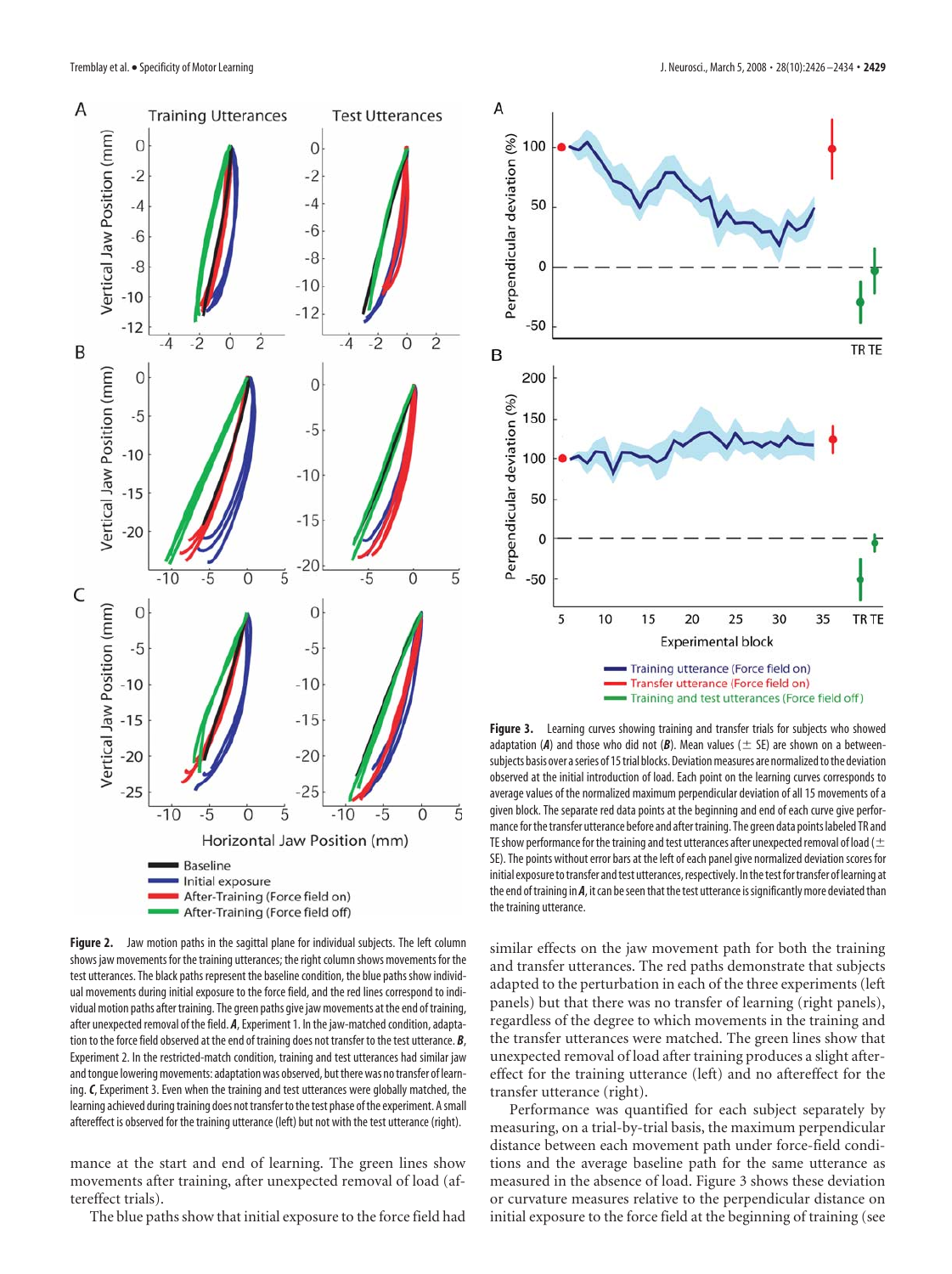

**Figure 2.** Jaw motion paths in the sagittal plane for individual subjects. The left column shows jaw movements for the training utterances; the right column shows movements for the test utterances. The black paths represent the baseline condition, the blue paths show individual movements during initial exposure to the force field, and the red lines correspond to individual motion paths after training. The green paths give jaw movements at the end of training, after unexpected removal of the field. *A*, Experiment 1. In the jaw-matched condition, adaptation to the force field observed at the end of training does not transfer to the test utterance. *B*, Experiment 2. In the restricted-match condition, training and test utterances had similar jaw and tongue lowering movements: adaptation was observed, but there was no transfer of learning.*C*, Experiment 3. Even when the training and test utterances were globally matched, the learning achieved during training does not transfer to the test phase of the experiment. A small aftereffect is observed for the training utterance (left) but not with the test utterance (right).

mance at the start and end of learning. The green lines show movements after training, after unexpected removal of load (aftereffect trials).

The blue paths show that initial exposure to the force field had



**Figure 3.** Learning curves showing training and transfer trials for subjects who showed adaptation (A) and those who did not (B). Mean values ( $\pm$  SE) are shown on a betweensubjects basis over a series of 15 trial blocks. Deviation measures are normalized to the deviation observed at the initial introduction of load. Each point on the learning curves corresponds to average values of the normalized maximum perpendicular deviation of all 15 movements of a given block. The separate red data points at the beginning and end of each curve give performance for the transfer utterance before and after training. The green data points labeled TR and TE show performance for the training and test utterances after unexpected removal of load ( $\pm$ SE). The points without error bars at the left of each panel give normalized deviation scores for initial exposure to transfer and test utterances, respectively. In the test for transfer of learning at the end of training in *A*, it can be seen that the test utterance is significantly more deviated than the training utterance.

similar effects on the jaw movement path for both the training and transfer utterances. The red paths demonstrate that subjects adapted to the perturbation in each of the three experiments (left panels) but that there was no transfer of learning (right panels), regardless of the degree to which movements in the training and the transfer utterances were matched. The green lines show that unexpected removal of load after training produces a slight aftereffect for the training utterance (left) and no aftereffect for the transfer utterance (right).

Performance was quantified for each subject separately by measuring, on a trial-by-trial basis, the maximum perpendicular distance between each movement path under force-field conditions and the average baseline path for the same utterance as measured in the absence of load. Figure 3 shows these deviation or curvature measures relative to the perpendicular distance on initial exposure to the force field at the beginning of training (see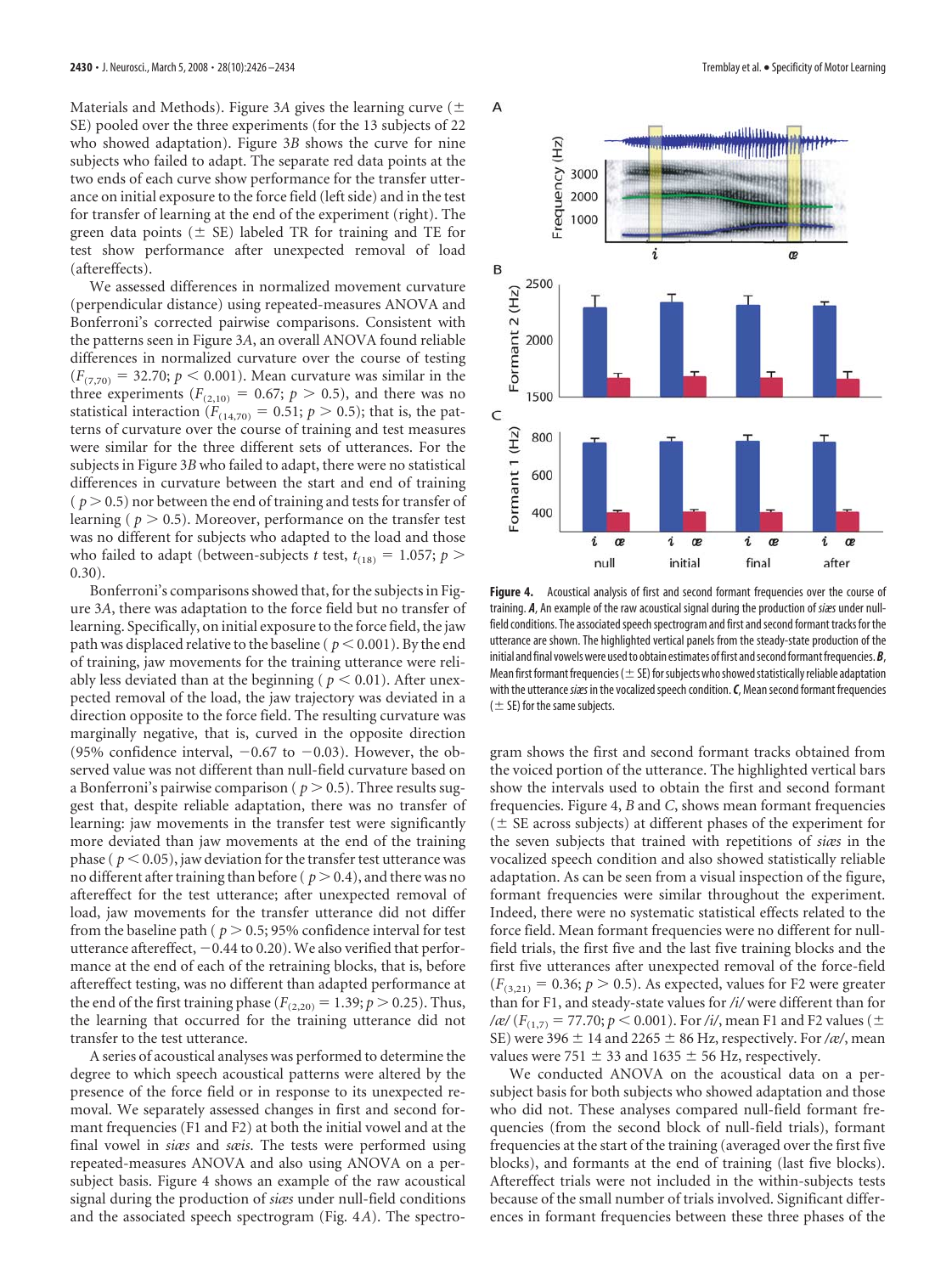Materials and Methods). Figure 3*A* gives the learning curve ( SE) pooled over the three experiments (for the 13 subjects of 22 who showed adaptation). Figure 3*B* shows the curve for nine subjects who failed to adapt. The separate red data points at the two ends of each curve show performance for the transfer utterance on initial exposure to the force field (left side) and in the test for transfer of learning at the end of the experiment (right). The green data points ( $\pm$  SE) labeled TR for training and TE for test show performance after unexpected removal of load (aftereffects).

We assessed differences in normalized movement curvature (perpendicular distance) using repeated-measures ANOVA and Bonferroni's corrected pairwise comparisons. Consistent with the patterns seen in Figure 3*A*, an overall ANOVA found reliable differences in normalized curvature over the course of testing  $(F_{(7,70)} = 32.70; p < 0.001)$ . Mean curvature was similar in the three experiments ( $F_{(2,10)} = 0.67$ ;  $p > 0.5$ ), and there was no statistical interaction ( $F_{(14,70)} = 0.51$ ;  $p > 0.5$ ); that is, the patterns of curvature over the course of training and test measures were similar for the three different sets of utterances. For the subjects in Figure 3*B* who failed to adapt, there were no statistical differences in curvature between the start and end of training  $(p > 0.5)$  nor between the end of training and tests for transfer of learning ( $p > 0.5$ ). Moreover, performance on the transfer test was no different for subjects who adapted to the load and those who failed to adapt (between-subjects *t* test,  $t_{(18)} = 1.057$ ;  $p >$ 0.30).

Bonferroni's comparisons showed that, for the subjects in Figure 3*A*, there was adaptation to the force field but no transfer of learning. Specifically, on initial exposure to the force field, the jaw path was displaced relative to the baseline ( $p < 0.001$ ). By the end of training, jaw movements for the training utterance were reliably less deviated than at the beginning ( $p < 0.01$ ). After unexpected removal of the load, the jaw trajectory was deviated in a direction opposite to the force field. The resulting curvature was marginally negative, that is, curved in the opposite direction (95% confidence interval,  $-0.67$  to  $-0.03$ ). However, the observed value was not different than null-field curvature based on a Bonferroni's pairwise comparison ( $p > 0.5$ ). Three results suggest that, despite reliable adaptation, there was no transfer of learning: jaw movements in the transfer test were significantly more deviated than jaw movements at the end of the training phase ( $p < 0.05$ ), jaw deviation for the transfer test utterance was no different after training than before ( $p > 0.4$ ), and there was no aftereffect for the test utterance; after unexpected removal of load, jaw movements for the transfer utterance did not differ from the baseline path ( $p > 0.5$ ; 95% confidence interval for test utterance aftereffect,  $-0.44$  to 0.20). We also verified that performance at the end of each of the retraining blocks, that is, before aftereffect testing, was no different than adapted performance at the end of the first training phase ( $F_{(2,20)} = 1.39; p > 0.25$ ). Thus, the learning that occurred for the training utterance did not transfer to the test utterance.

A series of acoustical analyses was performed to determine the degree to which speech acoustical patterns were altered by the presence of the force field or in response to its unexpected removal. We separately assessed changes in first and second formant frequencies (F1 and F2) at both the initial vowel and at the final vowel in *siæs* and *sæis*. The tests were performed using repeated-measures ANOVA and also using ANOVA on a persubject basis. Figure 4 shows an example of the raw acoustical signal during the production of *siæs* under null-field conditions and the associated speech spectrogram (Fig. 4*A*). The spectro-



Figure 4. Acoustical analysis of first and second formant frequencies over the course of training. *A*, An example of the raw acoustical signal during the production of *siæs*under nullfield conditions. The associated speech spectrogram and first and second formant tracks for the utterance are shown. The highlighted vertical panels from the steady-state production of the initial and final vowels were used to obtain estimates of first and second formant frequencies. **B**, Mean first formant frequencies ( $\pm$  SE) for subjects who showed statistically reliable adaptation with the utterance *siæs* in the vocalized speech condition. *C*, Mean second formant frequencies  $(\pm$  SE) for the same subjects.

gram shows the first and second formant tracks obtained from the voiced portion of the utterance. The highlighted vertical bars show the intervals used to obtain the first and second formant frequencies. Figure 4, *B* and *C*, shows mean formant frequencies  $($   $\pm$  SE across subjects) at different phases of the experiment for the seven subjects that trained with repetitions of *siæs* in the vocalized speech condition and also showed statistically reliable adaptation. As can be seen from a visual inspection of the figure, formant frequencies were similar throughout the experiment. Indeed, there were no systematic statistical effects related to the force field. Mean formant frequencies were no different for nullfield trials, the first five and the last five training blocks and the first five utterances after unexpected removal of the force-field  $(F_{(3,21)} = 0.36; p > 0.5)$ . As expected, values for F2 were greater than for F1, and steady-state values for */i/* were different than for  $\frac{f}{f(x)}$  (*F*<sub>(1,7)</sub> = 77.70; *p* < 0.001). For /i/, mean F1 and F2 values ( $\pm$ SE) were 396  $\pm$  14 and 2265  $\pm$  86 Hz, respectively. For /*æ*/, mean values were 751  $\pm$  33 and 1635  $\pm$  56 Hz, respectively.

We conducted ANOVA on the acoustical data on a persubject basis for both subjects who showed adaptation and those who did not. These analyses compared null-field formant frequencies (from the second block of null-field trials), formant frequencies at the start of the training (averaged over the first five blocks), and formants at the end of training (last five blocks). Aftereffect trials were not included in the within-subjects tests because of the small number of trials involved. Significant differences in formant frequencies between these three phases of the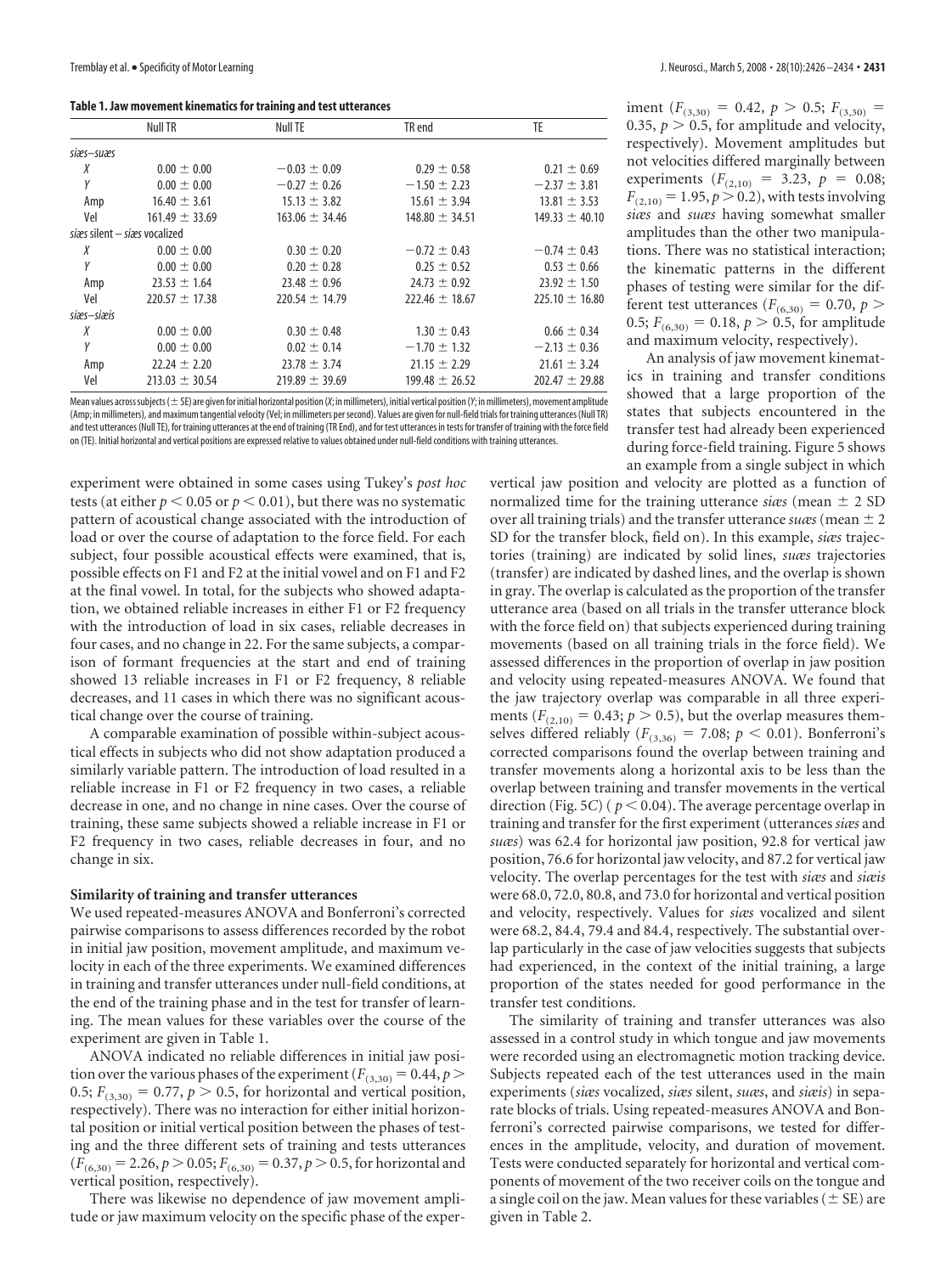|            | Null TR                        | Null TE            | TR end             | TE.                |  |  |
|------------|--------------------------------|--------------------|--------------------|--------------------|--|--|
| siæs-suæs  |                                |                    |                    |                    |  |  |
| Χ          | $0.00 \pm 0.00$                | $-0.03 \pm 0.09$   | $0.29 \pm 0.58$    | $0.21 \pm 0.69$    |  |  |
| Y          | $0.00 \pm 0.00$                | $-0.27 \pm 0.26$   | $-1.50 \pm 2.23$   | $-2.37 \pm 3.81$   |  |  |
| Amp        | $16.40 \pm 3.61$               | $15.13 \pm 3.82$   | $15.61 \pm 3.94$   | $13.81 \pm 3.53$   |  |  |
| Vel        | $161.49 \pm 33.69$             | $163.06 \pm 34.46$ | $148.80 \pm 34.51$ | $149.33 \pm 40.10$ |  |  |
|            | sizes silent - sizes vocalized |                    |                    |                    |  |  |
| Χ          | $0.00 \pm 0.00$                | $0.30 \pm 0.20$    | $-0.72 \pm 0.43$   | $-0.74 \pm 0.43$   |  |  |
| Υ          | $0.00 \pm 0.00$                | $0.20 \pm 0.28$    | $0.25 \pm 0.52$    | $0.53 \pm 0.66$    |  |  |
| Amp        | $23.53 \pm 1.64$               | $23.48 \pm 0.96$   | $24.73 \pm 0.92$   | $23.92 \pm 1.50$   |  |  |
| Vel        | $220.57 \pm 17.38$             | $220.54 \pm 14.79$ | $222.46 \pm 18.67$ | $225.10 \pm 16.80$ |  |  |
| siæs-siæis |                                |                    |                    |                    |  |  |
| Χ          | $0.00 \pm 0.00$                | $0.30 \pm 0.48$    | $1.30 \pm 0.43$    | $0.66 \pm 0.34$    |  |  |
| Υ          | $0.00 \pm 0.00$                | $0.02 \pm 0.14$    | $-1.70 \pm 1.32$   | $-2.13 \pm 0.36$   |  |  |
| Amp        | $22.24 \pm 2.20$               | $23.78 \pm 3.74$   | $21.15 \pm 2.29$   | $21.61 \pm 3.24$   |  |  |
| Vel        | $213.03 \pm 30.54$             | $219.89 \pm 39.69$ | $199.48 \pm 26.52$ | $202.47 \pm 29.88$ |  |  |

Mean values across subjects ( $\pm$  SE) are given for initial horizontal position (*X*; in millimeters), initial vertical position (*Y*; in millimeters), movement amplitude (Amp; in millimeters), and maximum tangential velocity (Vel; in millimeters persecond). Values are given for null-field trials for training utterances (Null TR) and test utterances (Null TE), for training utterances at the end of training (TR End), and for test utterances in tests for transfer of training with the force field on (TE). Initial horizontal and vertical positions are expressed relative to values obtained under null-field conditions with training utterances.

experiment were obtained in some cases using Tukey's *post hoc* tests (at either  $p < 0.05$  or  $p < 0.01$ ), but there was no systematic pattern of acoustical change associated with the introduction of load or over the course of adaptation to the force field. For each subject, four possible acoustical effects were examined, that is, possible effects on F1 and F2 at the initial vowel and on F1 and F2 at the final vowel. In total, for the subjects who showed adaptation, we obtained reliable increases in either F1 or F2 frequency with the introduction of load in six cases, reliable decreases in four cases, and no change in 22. For the same subjects, a comparison of formant frequencies at the start and end of training showed 13 reliable increases in F1 or F2 frequency, 8 reliable decreases, and 11 cases in which there was no significant acoustical change over the course of training.

A comparable examination of possible within-subject acoustical effects in subjects who did not show adaptation produced a similarly variable pattern. The introduction of load resulted in a reliable increase in F1 or F2 frequency in two cases, a reliable decrease in one, and no change in nine cases. Over the course of training, these same subjects showed a reliable increase in F1 or F2 frequency in two cases, reliable decreases in four, and no change in six.

#### **Similarity of training and transfer utterances**

We used repeated-measures ANOVA and Bonferroni's corrected pairwise comparisons to assess differences recorded by the robot in initial jaw position, movement amplitude, and maximum velocity in each of the three experiments. We examined differences in training and transfer utterances under null-field conditions, at the end of the training phase and in the test for transfer of learning. The mean values for these variables over the course of the experiment are given in Table 1.

ANOVA indicated no reliable differences in initial jaw position over the various phases of the experiment ( $F_{(3,30)} = 0.44$ ,  $p >$ 0.5;  $F_{(3,30)} = 0.77$ ,  $p > 0.5$ , for horizontal and vertical position, respectively). There was no interaction for either initial horizontal position or initial vertical position between the phases of testing and the three different sets of training and tests utterances  $(F_{(6,30)} = 2.26, p \ge 0.05; F_{(6,30)} = 0.37, p \ge 0.5$ , for horizontal and vertical position, respectively).

There was likewise no dependence of jaw movement amplitude or jaw maximum velocity on the specific phase of the exper-

iment  $(F_{(3,30)} = 0.42, p > 0.5; F_{(3,30)} =$ 0.35,  $p > 0.5$ , for amplitude and velocity, respectively). Movement amplitudes but not velocities differed marginally between experiments  $(F_{(2,10)} = 3.23, p = 0.08;$  $F_{(2,10)} = 1.95, p \ge 0.2$ ), with tests involving *siæs* and *suæs* having somewhat smaller amplitudes than the other two manipulations. There was no statistical interaction; the kinematic patterns in the different phases of testing were similar for the different test utterances ( $F_{(6,30)} = 0.70$ ,  $p >$ 0.5;  $F_{(6,30)} = 0.18$ ,  $p > 0.5$ , for amplitude and maximum velocity, respectively).

An analysis of jaw movement kinematics in training and transfer conditions showed that a large proportion of the states that subjects encountered in the transfer test had already been experienced during force-field training. Figure 5 shows an example from a single subject in which

vertical jaw position and velocity are plotted as a function of normalized time for the training utterance *siæs* (mean  $\pm$  2 SD over all training trials) and the transfer utterance *suas* (mean  $\pm 2$ SD for the transfer block, field on). In this example, *siæs* trajectories (training) are indicated by solid lines, *suæs* trajectories (transfer) are indicated by dashed lines, and the overlap is shown in gray. The overlap is calculated as the proportion of the transfer utterance area (based on all trials in the transfer utterance block with the force field on) that subjects experienced during training movements (based on all training trials in the force field). We assessed differences in the proportion of overlap in jaw position and velocity using repeated-measures ANOVA. We found that the jaw trajectory overlap was comparable in all three experiments ( $F_{(2,10)} = 0.43$ ;  $p > 0.5$ ), but the overlap measures themselves differed reliably ( $F_{(3,36)} = 7.08; p < 0.01$ ). Bonferroni's corrected comparisons found the overlap between training and transfer movements along a horizontal axis to be less than the overlap between training and transfer movements in the vertical direction (Fig. 5*C*) ( $p < 0.04$ ). The average percentage overlap in training and transfer for the first experiment (utterances *siæs* and *suæs*) was 62.4 for horizontal jaw position, 92.8 for vertical jaw position, 76.6 for horizontal jaw velocity, and 87.2 for vertical jaw velocity. The overlap percentages for the test with *siæs* and *siæis* were 68.0, 72.0, 80.8, and 73.0 for horizontal and vertical position and velocity, respectively. Values for *siæs* vocalized and silent were 68.2, 84.4, 79.4 and 84.4, respectively. The substantial overlap particularly in the case of jaw velocities suggests that subjects had experienced, in the context of the initial training, a large proportion of the states needed for good performance in the transfer test conditions.

The similarity of training and transfer utterances was also assessed in a control study in which tongue and jaw movements were recorded using an electromagnetic motion tracking device. Subjects repeated each of the test utterances used in the main experiments (*siæs* vocalized, *siæs* silent, *suæs*, and *siæis*) in separate blocks of trials. Using repeated-measures ANOVA and Bonferroni's corrected pairwise comparisons, we tested for differences in the amplitude, velocity, and duration of movement. Tests were conducted separately for horizontal and vertical components of movement of the two receiver coils on the tongue and a single coil on the jaw. Mean values for these variables ( $\pm$  SE) are given in Table 2.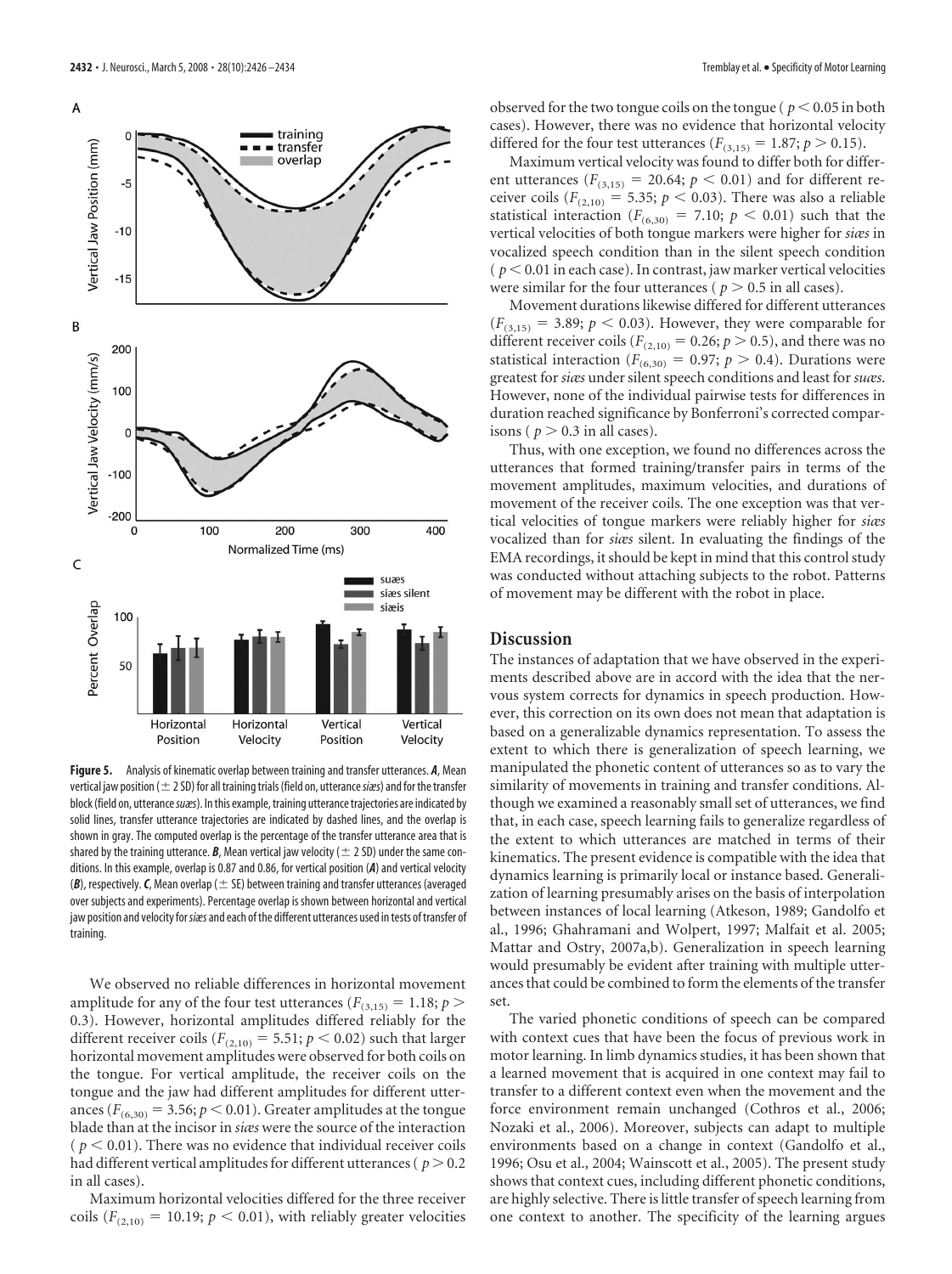

**Figure 5.** Analysis of kinematic overlap between training and transfer utterances. *A*, Mean vertical jaw position ( $\pm$  2 SD) for all training trials (field on, utterance *siæs*) and for the transfer block (field on, utterance *suæs*). In this example, training utterance trajectories are indicated by solid lines, transfer utterance trajectories are indicated by dashed lines, and the overlap is shown in gray. The computed overlap is the percentage of the transfer utterance area that is shared by the training utterance. *B*, Mean vertical jaw velocity ( $\pm$  2 SD) under the same conditions. In this example, overlap is 0.87 and 0.86, for vertical position (*A*) and vertical velocity  $(B)$ , respectively. C, Mean overlap ( $\pm$  SE) between training and transfer utterances (averaged over subjects and experiments). Percentage overlap is shown between horizontal and vertical jaw position and velocity for*siæs*and each ofthe different utterances used intests oftransfer of training.

We observed no reliable differences in horizontal movement amplitude for any of the four test utterances ( $F_{(3,15)} = 1.18; p >$ 0.3). However, horizontal amplitudes differed reliably for the different receiver coils ( $F_{(2,10)} = 5.51; p < 0.02$ ) such that larger horizontal movement amplitudes were observed for both coils on the tongue. For vertical amplitude, the receiver coils on the tongue and the jaw had different amplitudes for different utterances ( $F_{(6,30)} = 3.56; p < 0.01$ ). Greater amplitudes at the tongue blade than at the incisor in *siæs* were the source of the interaction  $p < 0.01$ ). There was no evidence that individual receiver coils had different vertical amplitudes for different utterances ( $p > 0.2$ ) in all cases).

Maximum horizontal velocities differed for the three receiver coils  $(F_{(2,10)} = 10.19; p < 0.01)$ , with reliably greater velocities observed for the two tongue coils on the tongue ( $p < 0.05$  in both cases). However, there was no evidence that horizontal velocity differed for the four test utterances ( $F_{(3,15)} = 1.87; p > 0.15$ ).

Maximum vertical velocity was found to differ both for different utterances ( $F_{(3,15)} = 20.64$ ;  $p < 0.01$ ) and for different receiver coils ( $F_{(2,10)} = 5.35$ ;  $p < 0.03$ ). There was also a reliable statistical interaction ( $F_{(6,30)} = 7.10; p < 0.01$ ) such that the vertical velocities of both tongue markers were higher for *siæs* in vocalized speech condition than in the silent speech condition  $(p < 0.01$  in each case). In contrast, jaw marker vertical velocities were similar for the four utterances ( $p > 0.5$  in all cases).

Movement durations likewise differed for different utterances  $(F_{(3,15)} = 3.89; p < 0.03)$ . However, they were comparable for different receiver coils ( $F_{(2,10)} = 0.26$ ;  $p > 0.5$ ), and there was no statistical interaction ( $F_{(6,30)} = 0.97$ ;  $p > 0.4$ ). Durations were greatest for*siæs* under silent speech conditions and least for*suæs*. However, none of the individual pairwise tests for differences in duration reached significance by Bonferroni's corrected comparisons ( $p > 0.3$  in all cases).

Thus, with one exception, we found no differences across the utterances that formed training/transfer pairs in terms of the movement amplitudes, maximum velocities, and durations of movement of the receiver coils. The one exception was that vertical velocities of tongue markers were reliably higher for *siæs* vocalized than for *siæs* silent. In evaluating the findings of the EMA recordings, it should be kept in mind that this control study was conducted without attaching subjects to the robot. Patterns of movement may be different with the robot in place.

## **Discussion**

The instances of adaptation that we have observed in the experiments described above are in accord with the idea that the nervous system corrects for dynamics in speech production. However, this correction on its own does not mean that adaptation is based on a generalizable dynamics representation. To assess the extent to which there is generalization of speech learning, we manipulated the phonetic content of utterances so as to vary the similarity of movements in training and transfer conditions. Although we examined a reasonably small set of utterances, we find that, in each case, speech learning fails to generalize regardless of the extent to which utterances are matched in terms of their kinematics. The present evidence is compatible with the idea that dynamics learning is primarily local or instance based. Generalization of learning presumably arises on the basis of interpolation between instances of local learning (Atkeson, 1989; Gandolfo et al., 1996; Ghahramani and Wolpert, 1997; Malfait et al. 2005; Mattar and Ostry, 2007a,b). Generalization in speech learning would presumably be evident after training with multiple utterances that could be combined to form the elements of the transfer set.

The varied phonetic conditions of speech can be compared with context cues that have been the focus of previous work in motor learning. In limb dynamics studies, it has been shown that a learned movement that is acquired in one context may fail to transfer to a different context even when the movement and the force environment remain unchanged (Cothros et al., 2006; Nozaki et al., 2006). Moreover, subjects can adapt to multiple environments based on a change in context (Gandolfo et al., 1996; Osu et al., 2004; Wainscott et al., 2005). The present study shows that context cues, including different phonetic conditions, are highly selective. There is little transfer of speech learning from one context to another. The specificity of the learning argues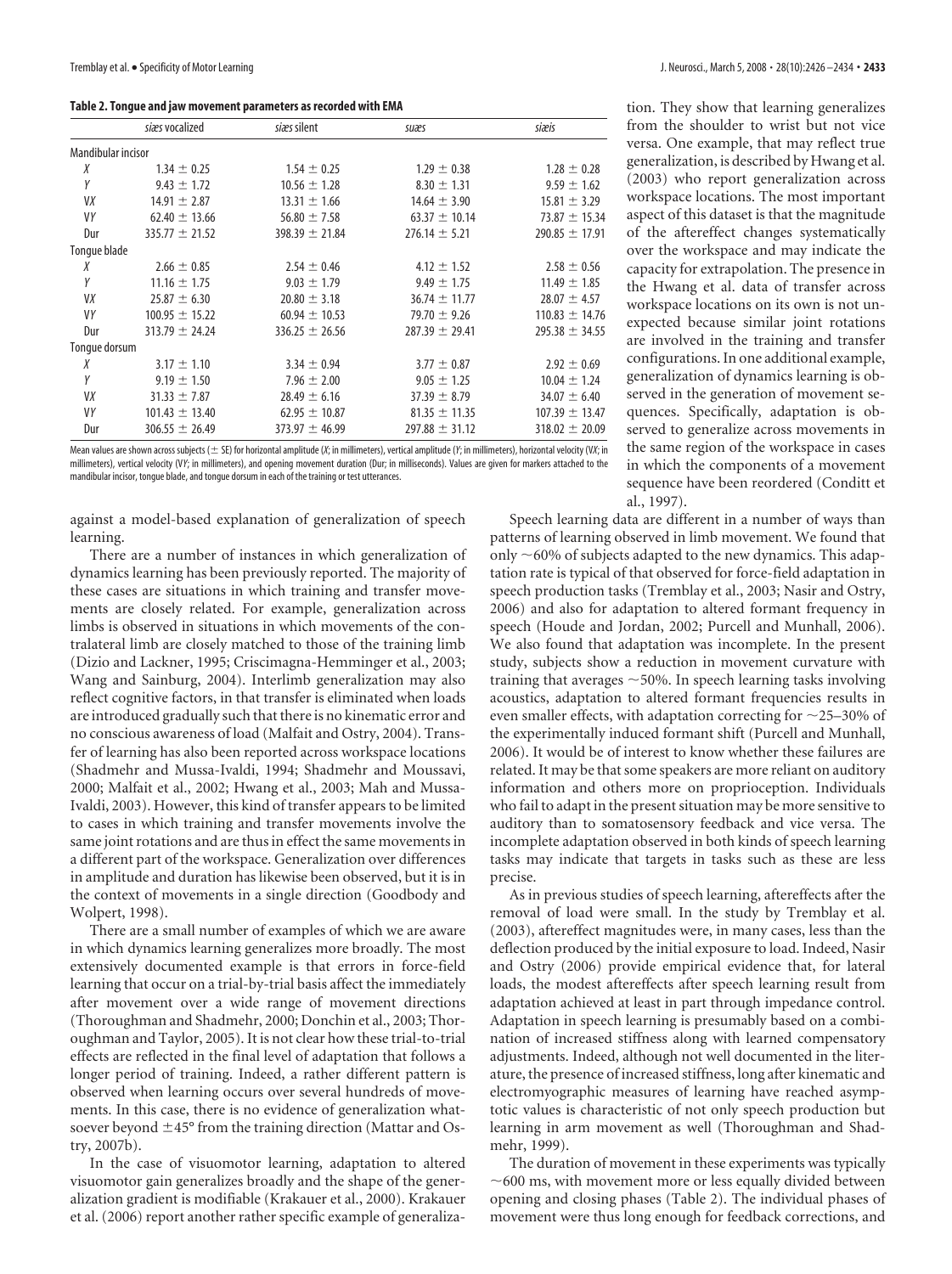| Table 2. Tongue and jaw movement parameters as recorded with EMA |
|------------------------------------------------------------------|
|------------------------------------------------------------------|

|                    | siæs vocalized     | siæs silent        | suæs               | siæis              |
|--------------------|--------------------|--------------------|--------------------|--------------------|
| Mandibular incisor |                    |                    |                    |                    |
| Χ                  | $1.34 \pm 0.25$    | $1.54 \pm 0.25$    | $1.29 \pm 0.38$    | $1.28 \pm 0.28$    |
| Υ                  | $9.43 \pm 1.72$    | $10.56 \pm 1.28$   | $8.30 \pm 1.31$    | $9.59 \pm 1.62$    |
| VX                 | $14.91 \pm 2.87$   | $13.31 \pm 1.66$   | $14.64 \pm 3.90$   | $15.81 \pm 3.29$   |
| VY                 | $62.40 \pm 13.66$  | $56.80 \pm 7.58$   | $63.37 \pm 10.14$  | $73.87 \pm 15.34$  |
| Dur                | $335.77 \pm 21.52$ | $398.39 \pm 21.84$ | $276.14 \pm 5.21$  | $290.85 \pm 17.91$ |
| Tongue blade       |                    |                    |                    |                    |
| Χ                  | $2.66 \pm 0.85$    | $2.54 \pm 0.46$    | $4.12 \pm 1.52$    | $2.58 \pm 0.56$    |
| Υ                  | $11.16 \pm 1.75$   | $9.03 \pm 1.79$    | $9.49 \pm 1.75$    | $11.49 \pm 1.85$   |
| VX                 | $25.87 \pm 6.30$   | $20.80 \pm 3.18$   | $36.74 \pm 11.77$  | $28.07 \pm 4.57$   |
| VY                 | $100.95 \pm 15.22$ | $60.94 \pm 10.53$  | 79.70 $\pm$ 9.26   | $110.83 \pm 14.76$ |
| Dur                | $313.79 \pm 24.24$ | $336.25 \pm 26.56$ | $287.39 \pm 29.41$ | $295.38 \pm 34.55$ |
| Tonque dorsum      |                    |                    |                    |                    |
| Χ                  | $3.17 \pm 1.10$    | $3.34 \pm 0.94$    | $3.77 \pm 0.87$    | $2.92 \pm 0.69$    |
| Υ                  | $9.19 \pm 1.50$    | $7.96 \pm 2.00$    | $9.05 \pm 1.25$    | $10.04 \pm 1.24$   |
| VX                 | $31.33 \pm 7.87$   | $28.49 \pm 6.16$   | $37.39 \pm 8.79$   | $34.07 \pm 6.40$   |
| VY                 | $101.43 \pm 13.40$ | $62.95 \pm 10.87$  | $81.35 \pm 11.35$  | $107.39 \pm 13.47$ |
| Dur                | $306.55 \pm 26.49$ | $373.97 \pm 46.99$ | $297.88 \pm 31.12$ | $318.02 \pm 20.09$ |

Mean values are shown across subjects ( $\pm$  SE) for horizontal amplitude (*X*; in millimeters), vertical amplitude (*Y*; in millimeters), horizontal velocity (V*X*; in millimeters), vertical velocity (V*Y*; in millimeters), and opening movement duration (Dur; in milliseconds). Values are given for markers attached to the mandibular incisor, tongue blade, and tongue dorsum in each of the training or test utterances.

against a model-based explanation of generalization of speech learning.

There are a number of instances in which generalization of dynamics learning has been previously reported. The majority of these cases are situations in which training and transfer movements are closely related. For example, generalization across limbs is observed in situations in which movements of the contralateral limb are closely matched to those of the training limb (Dizio and Lackner, 1995; Criscimagna-Hemminger et al., 2003; Wang and Sainburg, 2004). Interlimb generalization may also reflect cognitive factors, in that transfer is eliminated when loads are introduced gradually such that there is no kinematic error and no conscious awareness of load (Malfait and Ostry, 2004). Transfer of learning has also been reported across workspace locations (Shadmehr and Mussa-Ivaldi, 1994; Shadmehr and Moussavi, 2000; Malfait et al., 2002; Hwang et al., 2003; Mah and Mussa-Ivaldi, 2003). However, this kind of transfer appears to be limited to cases in which training and transfer movements involve the same joint rotations and are thus in effect the same movements in a different part of the workspace. Generalization over differences in amplitude and duration has likewise been observed, but it is in the context of movements in a single direction (Goodbody and Wolpert, 1998).

There are a small number of examples of which we are aware in which dynamics learning generalizes more broadly. The most extensively documented example is that errors in force-field learning that occur on a trial-by-trial basis affect the immediately after movement over a wide range of movement directions (Thoroughman and Shadmehr, 2000; Donchin et al., 2003; Thoroughman and Taylor, 2005). It is not clear how these trial-to-trial effects are reflected in the final level of adaptation that follows a longer period of training. Indeed, a rather different pattern is observed when learning occurs over several hundreds of movements. In this case, there is no evidence of generalization whatsoever beyond  $\pm$ 45° from the training direction (Mattar and Ostry, 2007b).

In the case of visuomotor learning, adaptation to altered visuomotor gain generalizes broadly and the shape of the generalization gradient is modifiable (Krakauer et al., 2000). Krakauer et al. (2006) report another rather specific example of generalization. They show that learning generalizes from the shoulder to wrist but not vice versa. One example, that may reflect true generalization, is described by Hwang et al. (2003) who report generalization across workspace locations. The most important aspect of this dataset is that the magnitude of the aftereffect changes systematically over the workspace and may indicate the capacity for extrapolation. The presence in the Hwang et al. data of transfer across workspace locations on its own is not unexpected because similar joint rotations are involved in the training and transfer configurations. In one additional example, generalization of dynamics learning is observed in the generation of movement sequences. Specifically, adaptation is observed to generalize across movements in the same region of the workspace in cases in which the components of a movement sequence have been reordered (Conditt et al., 1997).

Speech learning data are different in a number of ways than patterns of learning observed in limb movement. We found that only  $\sim$  60% of subjects adapted to the new dynamics. This adaptation rate is typical of that observed for force-field adaptation in speech production tasks (Tremblay et al., 2003; Nasir and Ostry, 2006) and also for adaptation to altered formant frequency in speech (Houde and Jordan, 2002; Purcell and Munhall, 2006). We also found that adaptation was incomplete. In the present study, subjects show a reduction in movement curvature with training that averages  $\sim$  50%. In speech learning tasks involving acoustics, adaptation to altered formant frequencies results in even smaller effects, with adaptation correcting for  $\sim$ 25–30% of the experimentally induced formant shift (Purcell and Munhall, 2006). It would be of interest to know whether these failures are related. It may be that some speakers are more reliant on auditory information and others more on proprioception. Individuals who fail to adapt in the present situation may be more sensitive to auditory than to somatosensory feedback and vice versa. The incomplete adaptation observed in both kinds of speech learning tasks may indicate that targets in tasks such as these are less precise.

As in previous studies of speech learning, aftereffects after the removal of load were small. In the study by Tremblay et al. (2003), aftereffect magnitudes were, in many cases, less than the deflection produced by the initial exposure to load. Indeed, Nasir and Ostry (2006) provide empirical evidence that, for lateral loads, the modest aftereffects after speech learning result from adaptation achieved at least in part through impedance control. Adaptation in speech learning is presumably based on a combination of increased stiffness along with learned compensatory adjustments. Indeed, although not well documented in the literature, the presence of increased stiffness, long after kinematic and electromyographic measures of learning have reached asymptotic values is characteristic of not only speech production but learning in arm movement as well (Thoroughman and Shadmehr, 1999).

The duration of movement in these experiments was typically  $\sim$  600 ms, with movement more or less equally divided between opening and closing phases (Table 2). The individual phases of movement were thus long enough for feedback corrections, and